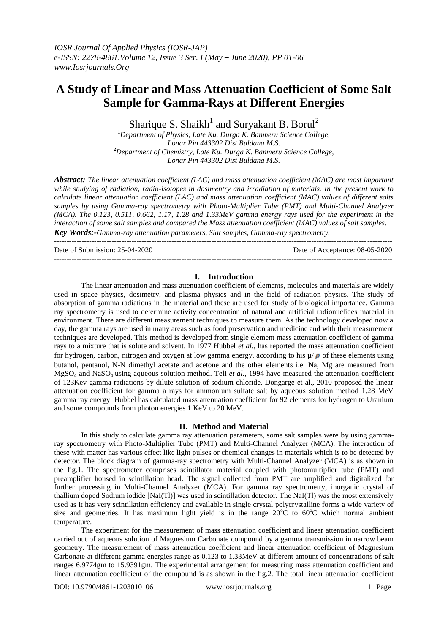# **A Study of Linear and Mass Attenuation Coefficient of Some Salt Sample for Gamma-Rays at Different Energies**

Sharique S. Shaikh<sup>1</sup> and Suryakant B. Borul<sup>2</sup>

**<sup>1</sup>***Department of Physics, Late Ku. Durga K. Banmeru Science College, Lonar Pin 443302 Dist Buldana M.S.* **<sup>2</sup>***Department of Chemistry, Late Ku. Durga K. Banmeru Science College, Lonar Pin 443302 Dist Buldana M.S.*

*Abstract: The linear attenuation coefficient (LAC) and mass attenuation coefficient (MAC) are most important while studying of radiation, radio-isotopes in dosimentry and irradiation of materials. In the present work to calculate linear attenuation coefficient (LAC) and mass attenuation coefficient (MAC) values of different salts samples by using Gamma-ray spectrometry with Photo-Multiplier Tube (PMT) and Multi-Channel Analyzer (MCA). The 0.123, 0.511, 0.662, 1.17, 1.28 and 1.33MeV gamma energy rays used for the experiment in the interaction of some salt samples and compared the Mass attenuation coefficient (MAC) values of salt samples. Key Words:-Gamma-ray attenuation parameters, Slat samples, Gamma-ray spectrometry.*

--------------------------------------------------------------------------------------------------------------------------------------- Date of Submission: 25-04-2020 Date of Acceptance: 08-05-2020 ---------------------------------------------------------------------------------------------------------------------------------------

#### **I. Introduction**

The linear attenuation and mass attenuation coefficient of elements, molecules and materials are widely used in space physics, dosimetry, and plasma physics and in the field of radiation physics. The study of absorption of gamma radiations in the material and these are used for study of biological importance. Gamma ray spectrometry is used to determine activity concentration of natural and artificial radionuclides material in environment. There are different measurement techniques to measure them. As the technology developed now a day, the gamma rays are used in many areas such as food preservation and medicine and with their measurement techniques are developed. This method is developed from single element mass attenuation coefficient of gamma rays to a mixture that is solute and solvent. In 1977 Hubbel *et al.,* has reported the mass attenuation coefficient for hydrogen, carbon, nitrogen and oxygen at low gamma energy, according to his  $\mu / \rho$  of these elements using butanol, pentanol, N-N dimethyl acetate and acetone and the other elements i.e. Na, Mg are measured from MgSO<sup>4</sup> and NaSO<sup>4</sup> using aqueous solution method. Teli *et al.,* 1994 have measured the attenuation coefficient of 123Kev gamma radiations by dilute solution of sodium chloride. Dongarge et al., 2010 proposed the linear attenuation coefficient for gamma a rays for ammonium sulfate salt by aqueous solution method 1.28 MeV gamma ray energy. Hubbel has calculated mass attenuation coefficient for 92 elements for hydrogen to Uranium and some compounds from photon energies 1 KeV to 20 MeV.

#### **II. Method and Material**

In this study to calculate gamma ray attenuation parameters, some salt samples were by using gammaray spectrometry with Photo-Multiplier Tube (PMT) and Multi-Channel Analyzer (MCA). The interaction of these with matter has various effect like light pulses or chemical changes in materials which is to be detected by detector. The block diagram of gamma-ray spectrometry with Multi-Channel Analyzer (MCA) is as shown in the fig.1. The spectrometer comprises scintillator material coupled with photomultiplier tube (PMT) and preamplifier housed in scintillation head. The signal collected from PMT are amplified and digitalized for further processing in Multi-Channel Analyzer (MCA). For gamma ray spectrometry, inorganic crystal of thallium doped Sodium iodide [NaI(Tl)] was used in scintillation detector. The NaI(Tl) was the most extensively used as it has very scintillation efficiency and available in single crystal polycrystalline forms a wide variety of size and geometries. It has maximum light yield is in the range  $20^{\circ}$ C to  $60^{\circ}$ C which normal ambient temperature.

The experiment for the measurement of mass attenuation coefficient and linear attenuation coefficient carried out of aqueous solution of Magnesium Carbonate compound by a gamma transmission in narrow beam geometry. The measurement of mass attenuation coefficient and linear attenuation coefficient of Magnesium Carbonate at different gamma energies range as 0.123 to 1.33MeV at different amount of concentrations of salt ranges 6.9774gm to 15.9391gm. The experimental arrangement for measuring mass attenuation coefficient and linear attenuation coefficient of the compound is as shown in the fig.2. The total linear attenuation coefficient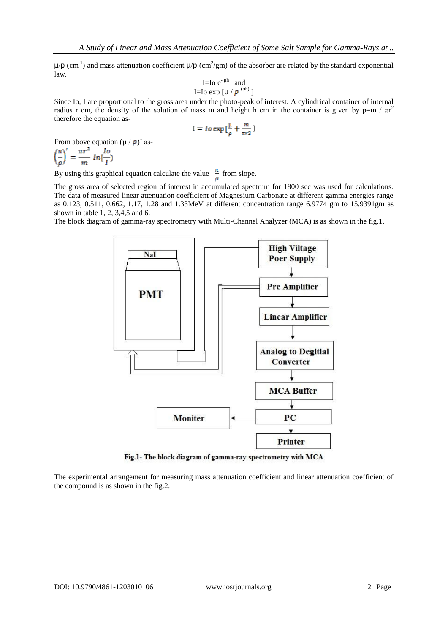$\mu$ /p (cm<sup>-1</sup>) and mass attenuation coefficient  $\mu$ /p (cm<sup>2</sup>/gm) of the absorber are related by the standard exponential law.

I=Io e<sup>-
$$
\mu
$$
th and  
I=Io exp [ $\mu / \rho^{(Ph)}$ ]</sup>

Since Io, I are proportional to the gross area under the photo-peak of interest. A cylindrical container of internal radius r cm, the density of the solution of mass m and height h cm in the container is given by  $p=m / \pi r^2$ therefore the equation as-

$$
I = Io \exp\left[\frac{\mu}{a} + \frac{m}{\pi r^2}\right]
$$

From above equation  $(\mu / \rho)'$  as-

$$
\left(\frac{\pi}{\rho}\right)' = \frac{\pi r^2}{m} \ln\left[\frac{l_o}{l}\right)
$$

By using this graphical equation calculate the value  $\frac{\pi}{\rho}$  from slope.

The gross area of selected region of interest in accumulated spectrum for 1800 sec was used for calculations. The data of measured linear attenuation coefficient of Magnesium Carbonate at different gamma energies range as 0.123, 0.511, 0.662, 1.17, 1.28 and 1.33MeV at different concentration range 6.9774 gm to 15.9391gm as shown in table 1, 2, 3,4,5 and 6.

The block diagram of gamma-ray spectrometry with Multi-Channel Analyzer (MCA) is as shown in the fig.1.



The experimental arrangement for measuring mass attenuation coefficient and linear attenuation coefficient of the compound is as shown in the fig.2.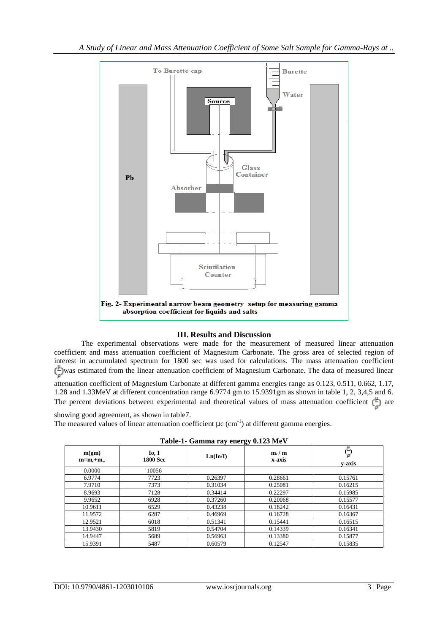

## **III. Results and Discussion**

The experimental observations were made for the measurement of measured linear attenuation coefficient and mass attenuation coefficient of Magnesium Carbonate. The gross area of selected region of interest in accumulated spectrum for 1800 sec was used for calculations. The mass attenuation coefficient  $\left(\frac{\mu}{\sigma}\right)$  was estimated from the linear attenuation coefficient of Magnesium Carbonate. The data of measured linear

attenuation coefficient of Magnesium Carbonate at different gamma energies range as 0.123, 0.511, 0.662, 1.17, 1.28 and 1.33MeV at different concentration range 6.9774 gm to 15.9391gm as shown in table 1, 2, 3,4,5 and 6. The percent deviations between experimental and theoretical values of mass attenuation coefficient  $(\frac{\mu}{\epsilon})$  are

showing good agreement, as shown in table7.

The measured values of linear attenuation coefficient  $\mu c$  (cm<sup>-1</sup>) at different gamma energies.

|                      | ******                      | $\frac{1}{2}$ |                   |         |
|----------------------|-----------------------------|---------------|-------------------|---------|
| m(gm)<br>$m=m_c+m_w$ | $I_0, I$<br><b>1800 Sec</b> | Ln(Io/I)      | $m_c/m$<br>x-axis | v-axis  |
| 0.0000               | 10056                       |               |                   |         |
| 6.9774               | 7723                        | 0.26397       | 0.28661           | 0.15761 |
| 7.9710               | 7373                        | 0.31034       | 0.25081           | 0.16215 |
| 8.9693               | 7128                        | 0.34414       | 0.22297           | 0.15985 |
| 9.9652               | 6928                        | 0.37260       | 0.20068           | 0.15577 |
| 10.9611              | 6529                        | 0.43238       | 0.18242           | 0.16431 |
| 11.9572              | 6287                        | 0.46969       | 0.16728           | 0.16367 |
| 12.9521              | 6018                        | 0.51341       | 0.15441           | 0.16515 |
| 13.9430              | 5819                        | 0.54704       | 0.14339           | 0.16341 |
| 14.9447              | 5689                        | 0.56963       | 0.13380           | 0.15877 |
| 15.9391              | 5487                        | 0.60579       | 0.12547           | 0.15835 |

| Table-1- Gamma ray energy 0.123 MeV |  |  |  |
|-------------------------------------|--|--|--|
|                                     |  |  |  |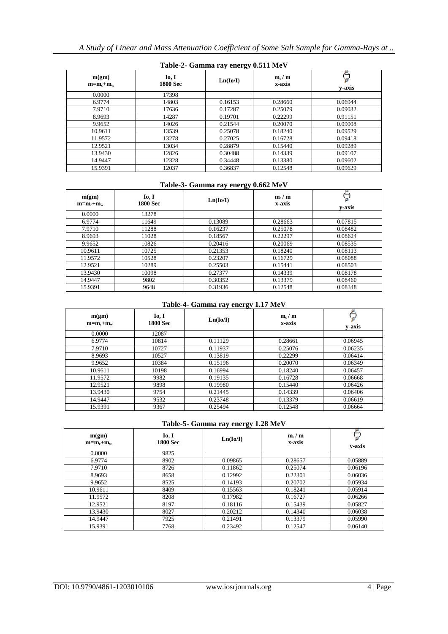| Table-2- Gallinia ray energy 0.311 MeV |                          |          |                   |         |  |  |
|----------------------------------------|--------------------------|----------|-------------------|---------|--|--|
| m(gm)<br>$m=m_c+m_w$                   | Io, I<br><b>1800 Sec</b> | Ln(Io/I) | $m_c/m$<br>x-axis | v-axis  |  |  |
| 0.0000                                 | 17398                    |          |                   |         |  |  |
| 6.9774                                 | 14803                    | 0.16153  | 0.28660           | 0.06944 |  |  |
| 7.9710                                 | 17636                    | 0.17287  | 0.25079           | 0.09032 |  |  |
| 8.9693                                 | 14287                    | 0.19701  | 0.22299           | 0.91151 |  |  |
| 9.9652                                 | 14026                    | 0.21544  | 0.20070           | 0.09008 |  |  |
| 10.9611                                | 13539                    | 0.25078  | 0.18240           | 0.09529 |  |  |
| 11.9572                                | 13278                    | 0.27025  | 0.16728           | 0.09418 |  |  |
| 12.9521                                | 13034                    | 0.28879  | 0.15440           | 0.09289 |  |  |
| 13.9430                                | 12826                    | 0.30488  | 0.14339           | 0.09107 |  |  |
| 14.9447                                | 12328                    | 0.34448  | 0.13380           | 0.09602 |  |  |
| 15.9391                                | 12037                    | 0.36837  | 0.12548           | 0.09629 |  |  |

## **Table-2- Gamma ray energy 0.511 MeV**

## **Table-3- Gamma ray energy 0.662 MeV**

| m(gm)<br>$m=m_c+m_w$ | Io, I<br><b>1800 Sec</b> | Ln(Io/II) | $\mathbf{m}_c / \mathbf{m}$<br>x-axis | —<br>y-axis |
|----------------------|--------------------------|-----------|---------------------------------------|-------------|
| 0.0000               | 13278                    |           |                                       |             |
| 6.9774               | 11649                    | 0.13089   | 0.28663                               | 0.07815     |
| 7.9710               | 11288                    | 0.16237   | 0.25078                               | 0.08482     |
| 8.9693               | 11028                    | 0.18567   | 0.22297                               | 0.08624     |
| 9.9652               | 10826                    | 0.20416   | 0.20069                               | 0.08535     |
| 10.9611              | 10725                    | 0.21353   | 0.18240                               | 0.08113     |
| 11.9572              | 10528                    | 0.23207   | 0.16729                               | 0.08088     |
| 12.9521              | 10289                    | 0.25503   | 0.15441                               | 0.08503     |
| 13.9430              | 10098                    | 0.27377   | 0.14339                               | 0.08178     |
| 14.9447              | 9802                     | 0.30352   | 0.13379                               | 0.08460     |
| 15.9391              | 9648                     | 0.31936   | 0.12548                               | 0.08348     |

## **Table-4- Gamma ray energy 1.17 MeV**

| m(gm)<br>$m=m_c+m_w$ | Io, I<br><b>1800 Sec</b> | Ln(Io/II) | $m_c/m$<br>x-axis | –<br>v-axis |
|----------------------|--------------------------|-----------|-------------------|-------------|
| 0.0000               | 12087                    |           |                   |             |
| 6.9774               | 10814                    | 0.11129   | 0.28661           | 0.06945     |
| 7.9710               | 10727                    | 0.11937   | 0.25076           | 0.06235     |
| 8.9693               | 10527                    | 0.13819   | 0.22299           | 0.06414     |
| 9.9652               | 10384                    | 0.15196   | 0.20070           | 0.06349     |
| 10.9611              | 10198                    | 0.16994   | 0.18240           | 0.06457     |
| 11.9572              | 9982                     | 0.19135   | 0.16728           | 0.06668     |
| 12.9521              | 9898                     | 0.19980   | 0.15440           | 0.06426     |
| 13.9430              | 9754                     | 0.21445   | 0.14339           | 0.06406     |
| 14.9447              | 9532                     | 0.23748   | 0.13379           | 0.06619     |
| 15.9391              | 9367                     | 0.25494   | 0.12548           | 0.06664     |

#### **Table-5- Gamma ray energy 1.28 MeV**

| m(gm)<br>$m=m_c+m_w$ | Io, I<br><b>1800 Sec</b> | Ln(Io/I) | $\mathbf{m}_c / \mathbf{m}$<br>x-axis | r—<br>v-axis |
|----------------------|--------------------------|----------|---------------------------------------|--------------|
| 0.0000               | 9825                     |          |                                       |              |
| 6.9774               | 8902                     | 0.09865  | 0.28657                               | 0.05889      |
| 7.9710               | 8726                     | 0.11862  | 0.25074                               | 0.06196      |
| 8.9693               | 8658                     | 0.12992  | 0.22301                               | 0.06036      |
| 9.9652               | 8525                     | 0.14193  | 0.20702                               | 0.05934      |
| 10.9611              | 8409                     | 0.15563  | 0.18241                               | 0.05914      |
| 11.9572              | 8208                     | 0.17982  | 0.16727                               | 0.06266      |
| 12.9521              | 8197                     | 0.18116  | 0.15439                               | 0.05827      |
| 13.9430              | 8027                     | 0.20212  | 0.14340                               | 0.06038      |
| 14.9447              | 7925                     | 0.21491  | 0.13379                               | 0.05990      |
| 15.9391              | 7768                     | 0.23492  | 0.12547                               | 0.06140      |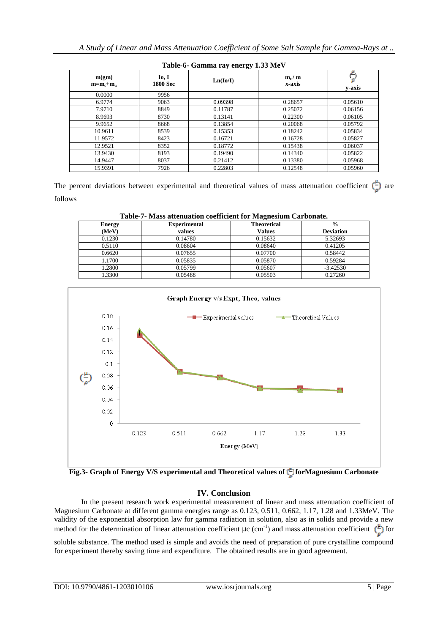| $\frac{1}{2}$        |                   |           |                                       |         |  |
|----------------------|-------------------|-----------|---------------------------------------|---------|--|
| m(gm)<br>$m=m_c+m_w$ | Io, I<br>1800 Sec | Ln(Io/II) | $\mathbf{m}_c / \mathbf{m}$<br>x-axis | v-axis  |  |
| 0.0000               | 9956              |           |                                       |         |  |
| 6.9774               | 9063              | 0.09398   | 0.28657                               | 0.05610 |  |
| 7.9710               | 8849              | 0.11787   | 0.25072                               | 0.06156 |  |
| 8.9693               | 8730              | 0.13141   | 0.22300                               | 0.06105 |  |
| 9.9652               | 8668              | 0.13854   | 0.20068                               | 0.05792 |  |
| 10.9611              | 8539              | 0.15353   | 0.18242                               | 0.05834 |  |
| 11.9572              | 8423              | 0.16721   | 0.16728                               | 0.05827 |  |
| 12.9521              | 8352              | 0.18772   | 0.15438                               | 0.06037 |  |
| 13.9430              | 8193              | 0.19490   | 0.14340                               | 0.05822 |  |
| 14.9447              | 8037              | 0.21412   | 0.13380                               | 0.05968 |  |
| 15.9391              | 7926              | 0.22803   | 0.12548                               | 0.05960 |  |

| Table-6- Gamma ray energy 1.33 MeV |  |  |  |
|------------------------------------|--|--|--|
|                                    |  |  |  |

The percent deviations between experimental and theoretical values of mass attenuation coefficient  $\left(\frac{\mu}{\sigma}\right)$  are follows

| Table-7- Mass attenuation coefficient for Magnesium Carbonate. |                     |                    |                  |  |  |
|----------------------------------------------------------------|---------------------|--------------------|------------------|--|--|
| <b>Energy</b>                                                  | <b>Experimental</b> | <b>Theoretical</b> | $\frac{0}{0}$    |  |  |
| (MeV)                                                          | values              | <b>Values</b>      | <b>Deviation</b> |  |  |
| 0.1230                                                         | 0.14780             | 0.15632            | 5.32693          |  |  |
| 0.5110                                                         | 0.08604             | 0.08640            | 0.41205          |  |  |
| 0.6620                                                         | 0.07655             | 0.07700            | 0.58442          |  |  |
| 1.1700                                                         | 0.05835             | 0.05870            | 0.59284          |  |  |
| 1.2800                                                         | 0.05799             | 0.05607            | $-3.42530$       |  |  |
| 1.3300                                                         | 0.05488             | 0.05503            | 0.27260          |  |  |



**Fig.3-** Graph of Energy V/S experimental and Theoretical values of  $\binom{p}{n}$  for Magnesium Carbonate

## **IV. Conclusion**

In the present research work experimental measurement of linear and mass attenuation coefficient of Magnesium Carbonate at different gamma energies range as 0.123, 0.511, 0.662, 1.17, 1.28 and 1.33MeV. The validity of the exponential absorption law for gamma radiation in solution, also as in solids and provide a new method for the determination of linear attenuation coefficient  $\mu$ c (cm<sup>-1</sup>) and mass attenuation coefficient  $(\perp)$  for

soluble substance. The method used is simple and avoids the need of preparation of pure crystalline compound for experiment thereby saving time and expenditure. The obtained results are in good agreement.